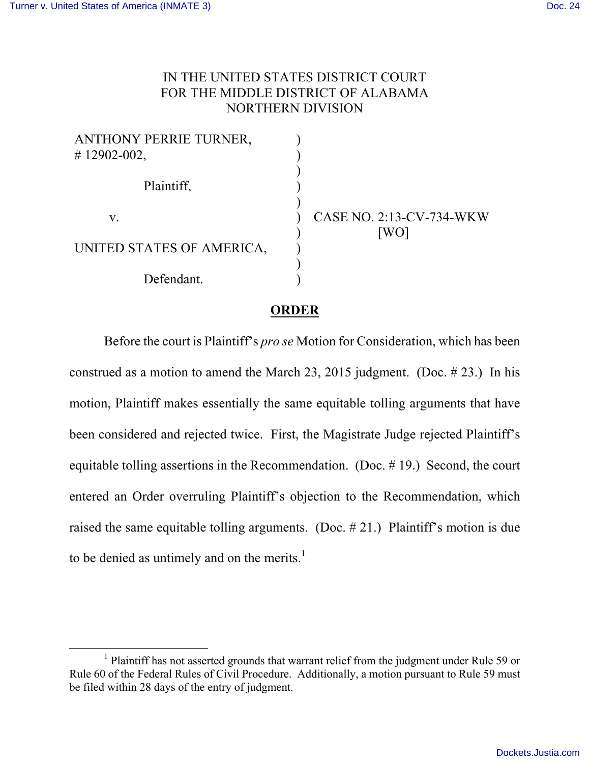## IN THE UNITED STATES DISTRICT COURT FOR THE MIDDLE DISTRICT OF ALABAMA NORTHERN DIVISION

| <b>ANTHONY PERRIE TURNER,</b> |                          |
|-------------------------------|--------------------------|
| $\#$ 12902-002,               |                          |
| Plaintiff,                    |                          |
| V.                            | CASE NO. 2:13-CV-734-WKW |
| UNITED STATES OF AMERICA,     | [WO]                     |
| Defendant.                    |                          |

## **ORDER**

Before the court is Plaintiff's *pro se* Motion for Consideration, which has been construed as a motion to amend the March 23, 2015 judgment. (Doc. # 23.) In his motion, Plaintiff makes essentially the same equitable tolling arguments that have been considered and rejected twice. First, the Magistrate Judge rejected Plaintiff's equitable tolling assertions in the Recommendation. (Doc. # 19.) Second, the court entered an Order overruling Plaintiff's objection to the Recommendation, which raised the same equitable tolling arguments. (Doc. # 21.) Plaintiff's motion is due to be denied as untimely and on the merits.<sup>1</sup>

<sup>&</sup>lt;sup>1</sup> Plaintiff has not asserted grounds that warrant relief from the judgment under Rule 59 or Rule 60 of the Federal Rules of Civil Procedure. Additionally, a motion pursuant to Rule 59 must be filed within 28 days of the entry of judgment.